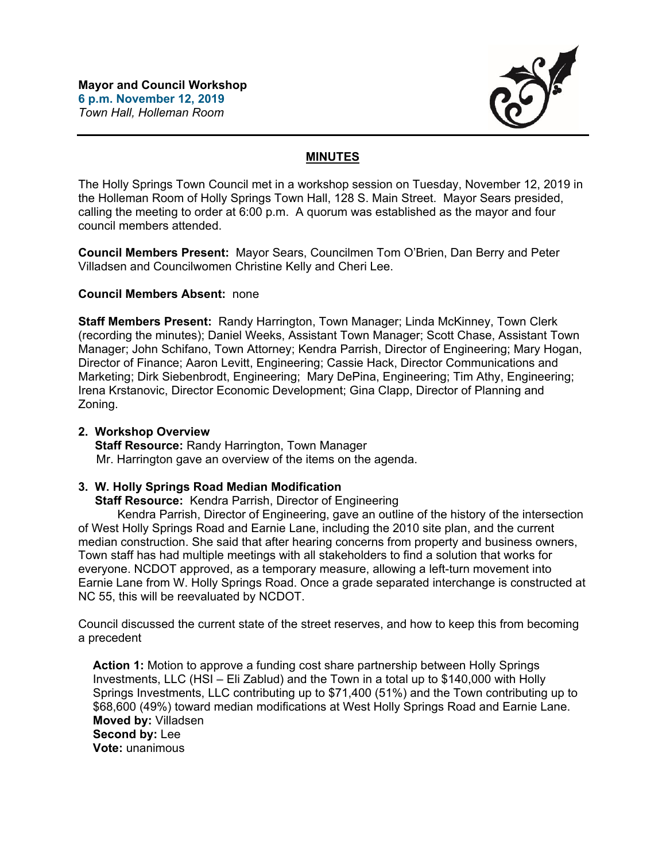

## **MINUTES**

The Holly Springs Town Council met in a workshop session on Tuesday, November 12, 2019 in the Holleman Room of Holly Springs Town Hall, 128 S. Main Street. Mayor Sears presided, calling the meeting to order at 6:00 p.m. A quorum was established as the mayor and four council members attended.

**Council Members Present:** Mayor Sears, Councilmen Tom O'Brien, Dan Berry and Peter Villadsen and Councilwomen Christine Kelly and Cheri Lee.

### **Council Members Absent:** none

**Staff Members Present:** Randy Harrington, Town Manager; Linda McKinney, Town Clerk (recording the minutes); Daniel Weeks, Assistant Town Manager; Scott Chase, Assistant Town Manager; John Schifano, Town Attorney; Kendra Parrish, Director of Engineering; Mary Hogan, Director of Finance; Aaron Levitt, Engineering; Cassie Hack, Director Communications and Marketing; Dirk Siebenbrodt, Engineering; Mary DePina, Engineering; Tim Athy, Engineering; Irena Krstanovic, Director Economic Development; Gina Clapp, Director of Planning and Zoning.

### **2. Workshop Overview**

 **Staff Resource:** Randy Harrington, Town Manager Mr. Harrington gave an overview of the items on the agenda.

## **3. W. Holly Springs Road Median Modification**

 **Staff Resource:** Kendra Parrish, Director of Engineering

 Kendra Parrish, Director of Engineering, gave an outline of the history of the intersection of West Holly Springs Road and Earnie Lane, including the 2010 site plan, and the current median construction. She said that after hearing concerns from property and business owners, Town staff has had multiple meetings with all stakeholders to find a solution that works for everyone. NCDOT approved, as a temporary measure, allowing a left-turn movement into Earnie Lane from W. Holly Springs Road. Once a grade separated interchange is constructed at NC 55, this will be reevaluated by NCDOT.

Council discussed the current state of the street reserves, and how to keep this from becoming a precedent

**Action 1:** Motion to approve a funding cost share partnership between Holly Springs Investments, LLC (HSI – Eli Zablud) and the Town in a total up to \$140,000 with Holly Springs Investments, LLC contributing up to \$71,400 (51%) and the Town contributing up to \$68,600 (49%) toward median modifications at West Holly Springs Road and Earnie Lane. **Moved by:** Villadsen **Second by:** Lee **Vote:** unanimous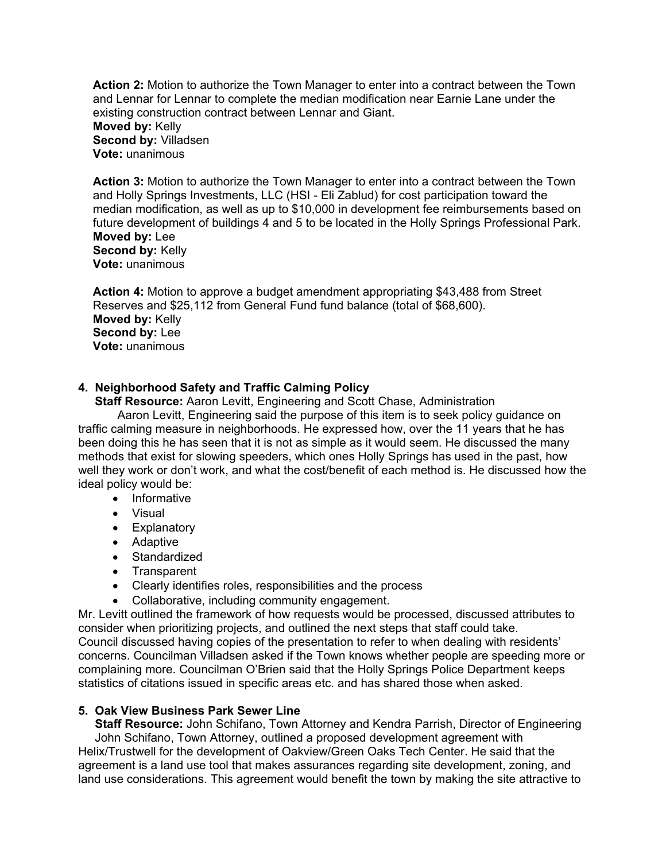**Action 2:** Motion to authorize the Town Manager to enter into a contract between the Town and Lennar for Lennar to complete the median modification near Earnie Lane under the existing construction contract between Lennar and Giant.

#### **Moved by:** Kelly **Second by:** Villadsen **Vote:** unanimous

**Action 3:** Motion to authorize the Town Manager to enter into a contract between the Town and Holly Springs Investments, LLC (HSI - Eli Zablud) for cost participation toward the median modification, as well as up to \$10,000 in development fee reimbursements based on future development of buildings 4 and 5 to be located in the Holly Springs Professional Park. **Moved by:** Lee **Second by:** Kelly **Vote:** unanimous

**Action 4:** Motion to approve a budget amendment appropriating \$43,488 from Street Reserves and \$25,112 from General Fund fund balance (total of \$68,600). **Moved by:** Kelly **Second by:** Lee **Vote:** unanimous

# **4. Neighborhood Safety and Traffic Calming Policy**

 **Staff Resource:** Aaron Levitt, Engineering and Scott Chase, Administration

 Aaron Levitt, Engineering said the purpose of this item is to seek policy guidance on traffic calming measure in neighborhoods. He expressed how, over the 11 years that he has been doing this he has seen that it is not as simple as it would seem. He discussed the many methods that exist for slowing speeders, which ones Holly Springs has used in the past, how well they work or don't work, and what the cost/benefit of each method is. He discussed how the ideal policy would be:

- Informative
- Visual
- Explanatory
- Adaptive
- Standardized
- Transparent
- Clearly identifies roles, responsibilities and the process
- Collaborative, including community engagement.

Mr. Levitt outlined the framework of how requests would be processed, discussed attributes to consider when prioritizing projects, and outlined the next steps that staff could take. Council discussed having copies of the presentation to refer to when dealing with residents' concerns. Councilman Villadsen asked if the Town knows whether people are speeding more or complaining more. Councilman O'Brien said that the Holly Springs Police Department keeps statistics of citations issued in specific areas etc. and has shared those when asked.

## **5. Oak View Business Park Sewer Line**

 **Staff Resource:** John Schifano, Town Attorney and Kendra Parrish, Director of Engineering John Schifano, Town Attorney, outlined a proposed development agreement with Helix/Trustwell for the development of Oakview/Green Oaks Tech Center. He said that the agreement is a land use tool that makes assurances regarding site development, zoning, and land use considerations. This agreement would benefit the town by making the site attractive to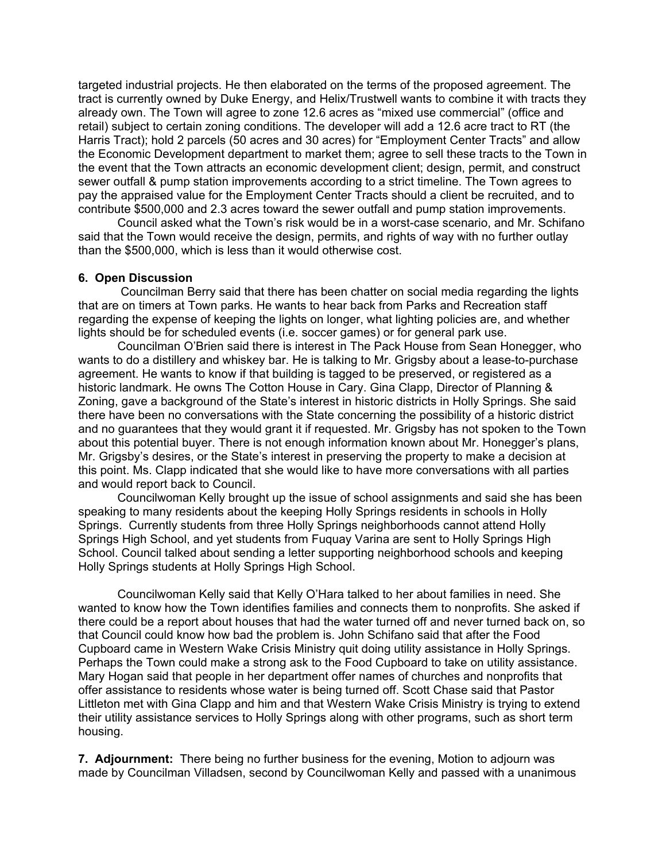targeted industrial projects. He then elaborated on the terms of the proposed agreement. The tract is currently owned by Duke Energy, and Helix/Trustwell wants to combine it with tracts they already own. The Town will agree to zone 12.6 acres as "mixed use commercial" (office and retail) subject to certain zoning conditions. The developer will add a 12.6 acre tract to RT (the Harris Tract); hold 2 parcels (50 acres and 30 acres) for "Employment Center Tracts" and allow the Economic Development department to market them; agree to sell these tracts to the Town in the event that the Town attracts an economic development client; design, permit, and construct sewer outfall & pump station improvements according to a strict timeline. The Town agrees to pay the appraised value for the Employment Center Tracts should a client be recruited, and to contribute \$500,000 and 2.3 acres toward the sewer outfall and pump station improvements.

 Council asked what the Town's risk would be in a worst-case scenario, and Mr. Schifano said that the Town would receive the design, permits, and rights of way with no further outlay than the \$500,000, which is less than it would otherwise cost.

#### **6. Open Discussion**

Councilman Berry said that there has been chatter on social media regarding the lights that are on timers at Town parks. He wants to hear back from Parks and Recreation staff regarding the expense of keeping the lights on longer, what lighting policies are, and whether lights should be for scheduled events (i.e. soccer games) or for general park use.

Councilman O'Brien said there is interest in The Pack House from Sean Honegger, who wants to do a distillery and whiskey bar. He is talking to Mr. Grigsby about a lease-to-purchase agreement. He wants to know if that building is tagged to be preserved, or registered as a historic landmark. He owns The Cotton House in Cary. Gina Clapp, Director of Planning & Zoning, gave a background of the State's interest in historic districts in Holly Springs. She said there have been no conversations with the State concerning the possibility of a historic district and no guarantees that they would grant it if requested. Mr. Grigsby has not spoken to the Town about this potential buyer. There is not enough information known about Mr. Honegger's plans, Mr. Grigsby's desires, or the State's interest in preserving the property to make a decision at this point. Ms. Clapp indicated that she would like to have more conversations with all parties and would report back to Council.

Councilwoman Kelly brought up the issue of school assignments and said she has been speaking to many residents about the keeping Holly Springs residents in schools in Holly Springs. Currently students from three Holly Springs neighborhoods cannot attend Holly Springs High School, and yet students from Fuquay Varina are sent to Holly Springs High School. Council talked about sending a letter supporting neighborhood schools and keeping Holly Springs students at Holly Springs High School.

Councilwoman Kelly said that Kelly O'Hara talked to her about families in need. She wanted to know how the Town identifies families and connects them to nonprofits. She asked if there could be a report about houses that had the water turned off and never turned back on, so that Council could know how bad the problem is. John Schifano said that after the Food Cupboard came in Western Wake Crisis Ministry quit doing utility assistance in Holly Springs. Perhaps the Town could make a strong ask to the Food Cupboard to take on utility assistance. Mary Hogan said that people in her department offer names of churches and nonprofits that offer assistance to residents whose water is being turned off. Scott Chase said that Pastor Littleton met with Gina Clapp and him and that Western Wake Crisis Ministry is trying to extend their utility assistance services to Holly Springs along with other programs, such as short term housing.

**7. Adjournment:** There being no further business for the evening, Motion to adjourn was made by Councilman Villadsen, second by Councilwoman Kelly and passed with a unanimous